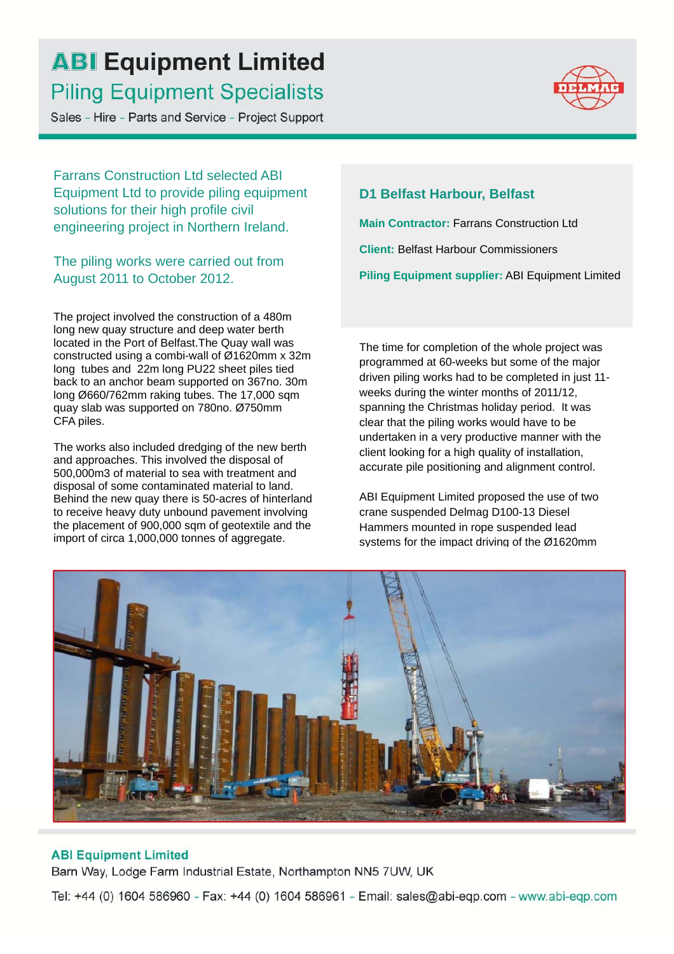## **ABI Equipment Limited Piling Equipment Specialists**

Sales - Hire - Parts and Service - Project Support



Farrans Construction Ltd selected ABI Equipment Ltd to provide piling equipment solutions for their high profile civil engineering project in Northern Ireland.

The piling works were carried out from August 2011 to October 2012.

The project involved the construction of a 480m long new quay structure and deep water berth located in the Port of Belfast.The Quay wall was constructed using a combi-wall of Ø1620mm x 32m long tubes and 22m long PU22 sheet piles tied back to an anchor beam supported on 367no. 30m long Ø660/762mm raking tubes. The 17,000 sqm quay slab was supported on 780no. Ø750mm CFA piles.

The works also included dredging of the new berth and approaches. This involved the disposal of 500,000m3 of material to sea with treatment and disposal of some contaminated material to land. Behind the new quay there is 50-acres of hinterland to receive heavy duty unbound pavement involving the placement of 900,000 sqm of geotextile and the import of circa 1,000,000 tonnes of aggregate.

## **D1 Belfast Harbour, Belfast**

**Main Contractor:** Farrans Construction Ltd

**Client:** Belfast Harbour Commissioners

**Piling Equipment supplier:** ABI Equipment Limited

The time for completion of the whole project was programmed at 60-weeks but some of the major driven piling works had to be completed in just 11 weeks during the winter months of 2011/12, spanning the Christmas holiday period. It was clear that the piling works would have to be undertaken in a very productive manner with the client looking for a high quality of installation, accurate pile positioning and alignment control.

ABI Equipment Limited proposed the use of two crane suspended Delmag D100-13 Diesel Hammers mounted in rope suspended lead systems for the impact driving of the Ø1620mm



#### **ABI Equipment Limited**

Barn Way, Lodge Farm Industrial Estate, Northampton NN5 7UW, UK

Tel: +44 (0) 1604 586960 - Fax: +44 (0) 1604 586961 - Email: sales@abi-eqp.com - www.abi-eqp.com